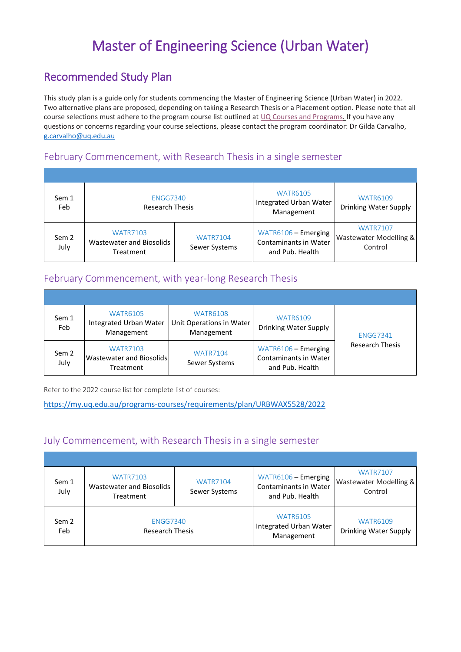# Master of Engineering Science (Urban Water)

## Recommended Study Plan

This study plan is a guide only for students commencing the Master of Engineering Science (Urban Water) in 2022. Two alternative plans are proposed, depending on taking a Research Thesis or a Placement option. Please note that all course selections must adhere to the program course list outlined a[t UQ Courses and Programs.](https://my.uq.edu.au/programs-courses/) If you have any questions or concerns regarding your course selections, please contact the program coordinator: Dr Gilda Carvalho, [g.carvalho@uq.edu.au](mailto:g.carvalho@uq.edu.au)

#### February Commencement, with Research Thesis in a single semester

| Sem 1<br>Feb  | ENGG7340<br><b>Research Thesis</b>                       |                                  | <b>WATR6105</b><br>Integrated Urban Water<br>Management                | <b>WATR6109</b><br>Drinking Water Supply             |
|---------------|----------------------------------------------------------|----------------------------------|------------------------------------------------------------------------|------------------------------------------------------|
| Sem 2<br>July | <b>WATR7103</b><br>Wastewater and Biosolids<br>Treatment | <b>WATR7104</b><br>Sewer Systems | WATR6106 - Emerging<br><b>Contaminants in Water</b><br>and Pub. Health | <b>WATR7107</b><br>Wastewater Modelling &<br>Control |

## February Commencement, with year-long Research Thesis

| Sem 1<br>Feb  | <b>WATR6105</b><br><b>Integrated Urban Water</b><br>Management | <b>WATR6108</b><br>Unit Operations in Water<br>Management | <b>WATR6109</b><br>Drinking Water Supply                               | <b>ENGG7341</b><br><b>Research Thesis</b> |
|---------------|----------------------------------------------------------------|-----------------------------------------------------------|------------------------------------------------------------------------|-------------------------------------------|
| Sem 2<br>July | <b>WATR7103</b><br>Wastewater and Biosolids<br>Treatment       | <b>WATR7104</b><br>Sewer Systems                          | WATR6106 - Emerging<br><b>Contaminants in Water</b><br>and Pub. Health |                                           |

Refer to the 2022 course list for complete list of courses:

<https://my.uq.edu.au/programs-courses/requirements/plan/URBWAX5528/2022>

### July Commencement, with Research Thesis in a single semester

| Sem 1<br>July | <b>WATR7103</b><br>Wastewater and Biosolids<br>Treatment | <b>WATR7104</b><br>Sewer Systems | WATR6106 - Emerging<br><b>Contaminants in Water</b><br>and Pub. Health | <b>WATR7107</b><br>Wastewater Modelling &<br>Control |
|---------------|----------------------------------------------------------|----------------------------------|------------------------------------------------------------------------|------------------------------------------------------|
| Sem 2<br>Feb  | <b>ENGG7340</b><br><b>Research Thesis</b>                |                                  | <b>WATR6105</b><br>Integrated Urban Water<br>Management                | <b>WATR6109</b><br>Drinking Water Supply             |